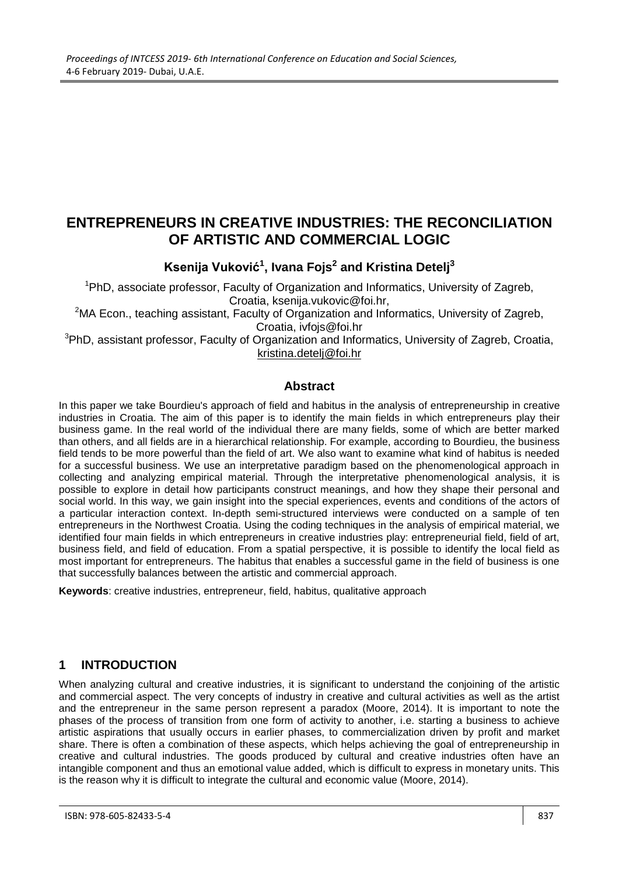# **ENTREPRENEURS IN CREATIVE INDUSTRIES: THE RECONCILIATION OF ARTISTIC AND COMMERCIAL LOGIC**

# **Ksenija Vuković<sup>1</sup> , Ivana Fojs 2 and Kristina Detelj<sup>3</sup>**

<sup>1</sup>PhD, associate professor, Faculty of Organization and Informatics, University of Zagreb, Croatia, ksenija.vukovic@foi.hr,

<sup>2</sup>MA Econ., teaching assistant, Faculty of Organization and Informatics, University of Zagreb, Croatia, ivfojs@foi.hr

<sup>3</sup>PhD, assistant professor, Faculty of Organization and Informatics, University of Zagreb, Croatia, [kristina.detelj@foi.hr](mailto:kristina.detelj@foi.hr)

#### **Abstract**

In this paper we take Bourdieu's approach of field and habitus in the analysis of entrepreneurship in creative industries in Croatia. The aim of this paper is to identify the main fields in which entrepreneurs play their business game. In the real world of the individual there are many fields, some of which are better marked than others, and all fields are in a hierarchical relationship. For example, according to Bourdieu, the business field tends to be more powerful than the field of art. We also want to examine what kind of habitus is needed for a successful business. We use an interpretative paradigm based on the phenomenological approach in collecting and analyzing empirical material. Through the interpretative phenomenological analysis, it is possible to explore in detail how participants construct meanings, and how they shape their personal and social world. In this way, we gain insight into the special experiences, events and conditions of the actors of a particular interaction context. In-depth semi-structured interviews were conducted on a sample of ten entrepreneurs in the Northwest Croatia. Using the coding techniques in the analysis of empirical material, we identified four main fields in which entrepreneurs in creative industries play: entrepreneurial field, field of art, business field, and field of education. From a spatial perspective, it is possible to identify the local field as most important for entrepreneurs. The habitus that enables a successful game in the field of business is one that successfully balances between the artistic and commercial approach.

**Keywords**: creative industries, entrepreneur, field, habitus, qualitative approach

### **1 INTRODUCTION**

When analyzing cultural and creative industries, it is significant to understand the conjoining of the artistic and commercial aspect. The very concepts of industry in creative and cultural activities as well as the artist and the entrepreneur in the same person represent a paradox (Moore, 2014). It is important to note the phases of the process of transition from one form of activity to another, i.e. starting a business to achieve artistic aspirations that usually occurs in earlier phases, to commercialization driven by profit and market share. There is often a combination of these aspects, which helps achieving the goal of entrepreneurship in creative and cultural industries. The goods produced by cultural and creative industries often have an intangible component and thus an emotional value added, which is difficult to express in monetary units. This is the reason why it is difficult to integrate the cultural and economic value (Moore, 2014).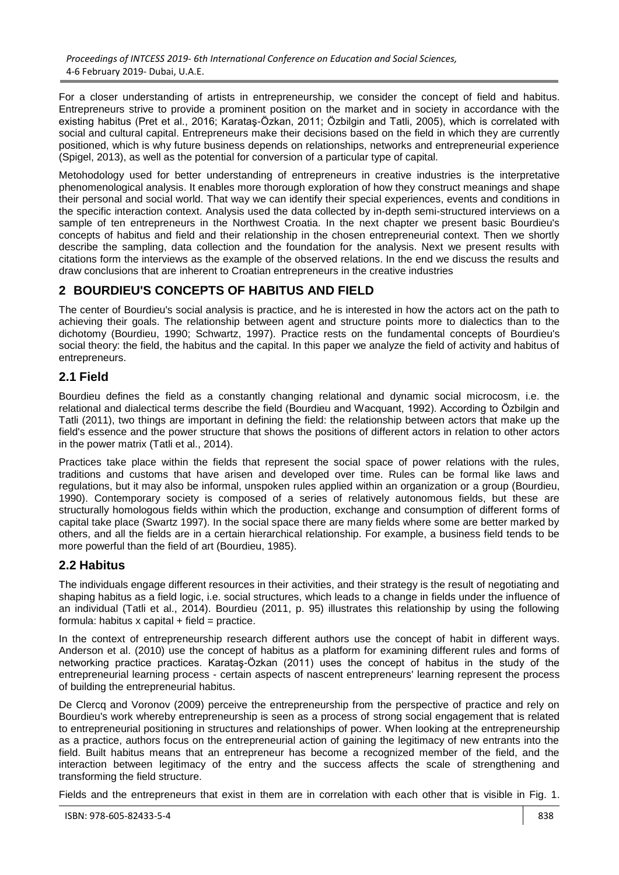For a closer understanding of artists in entrepreneurship, we consider the concept of field and habitus. Entrepreneurs strive to provide a prominent position on the market and in society in accordance with the existing habitus (Pret et al., 2016; Karataş-Özkan, 2011; Özbilgin and Tatli, 2005), which is correlated with social and cultural capital. Entrepreneurs make their decisions based on the field in which they are currently positioned, which is why future business depends on relationships, networks and entrepreneurial experience (Spigel, 2013), as well as the potential for conversion of a particular type of capital.

Metohodology used for better understanding of entrepreneurs in creative industries is the interpretative phenomenological analysis. It enables more thorough exploration of how they construct meanings and shape their personal and social world. That way we can identify their special experiences, events and conditions in the specific interaction context. Analysis used the data collected by in-depth semi-structured interviews on a sample of ten entrepreneurs in the Northwest Croatia. In the next chapter we present basic Bourdieu's concepts of habitus and field and their relationship in the chosen entrepreneurial context. Then we shortly describe the sampling, data collection and the foundation for the analysis. Next we present results with citations form the interviews as the example of the observed relations. In the end we discuss the results and draw conclusions that are inherent to Croatian entrepreneurs in the creative industries

# **2 BOURDIEU'S CONCEPTS OF HABITUS AND FIELD**

The center of Bourdieu's social analysis is practice, and he is interested in how the actors act on the path to achieving their goals. The relationship between agent and structure points more to dialectics than to the dichotomy (Bourdieu, 1990; Schwartz, 1997). Practice rests on the fundamental concepts of Bourdieu's social theory: the field, the habitus and the capital. In this paper we analyze the field of activity and habitus of entrepreneurs.

## **2.1 Field**

Bourdieu defines the field as a constantly changing relational and dynamic social microcosm, i.e. the relational and dialectical terms describe the field (Bourdieu and Wacquant, 1992). According to Özbilgin and Tatli (2011), two things are important in defining the field: the relationship between actors that make up the field's essence and the power structure that shows the positions of different actors in relation to other actors in the power matrix (Tatli et al., 2014).

Practices take place within the fields that represent the social space of power relations with the rules, traditions and customs that have arisen and developed over time. Rules can be formal like laws and regulations, but it may also be informal, unspoken rules applied within an organization or a group (Bourdieu, 1990). Contemporary society is composed of a series of relatively autonomous fields, but these are structurally homologous fields within which the production, exchange and consumption of different forms of capital take place (Swartz 1997). In the social space there are many fields where some are better marked by others, and all the fields are in a certain hierarchical relationship. For example, a business field tends to be more powerful than the field of art (Bourdieu, 1985).

### **2.2 Habitus**

The individuals engage different resources in their activities, and their strategy is the result of negotiating and shaping habitus as a field logic, i.e. social structures, which leads to a change in fields under the influence of an individual (Tatli et al., 2014). Bourdieu (2011, p. 95) illustrates this relationship by using the following formula: habitus  $x$  capital  $+$  field = practice.

In the context of entrepreneurship research different authors use the concept of habit in different ways. Anderson et al. (2010) use the concept of habitus as a platform for examining different rules and forms of networking practice practices. Karataş-Özkan (2011) uses the concept of habitus in the study of the entrepreneurial learning process - certain aspects of nascent entrepreneurs' learning represent the process of building the entrepreneurial habitus.

De Clercq and Voronov (2009) perceive the entrepreneurship from the perspective of practice and rely on Bourdieu's work whereby entrepreneurship is seen as a process of strong social engagement that is related to entrepreneurial positioning in structures and relationships of power. When looking at the entrepreneurship as a practice, authors focus on the entrepreneurial action of gaining the legitimacy of new entrants into the field. Built habitus means that an entrepreneur has become a recognized member of the field, and the interaction between legitimacy of the entry and the success affects the scale of strengthening and transforming the field structure.

Fields and the entrepreneurs that exist in them are in correlation with each other that is visible in Fig. 1.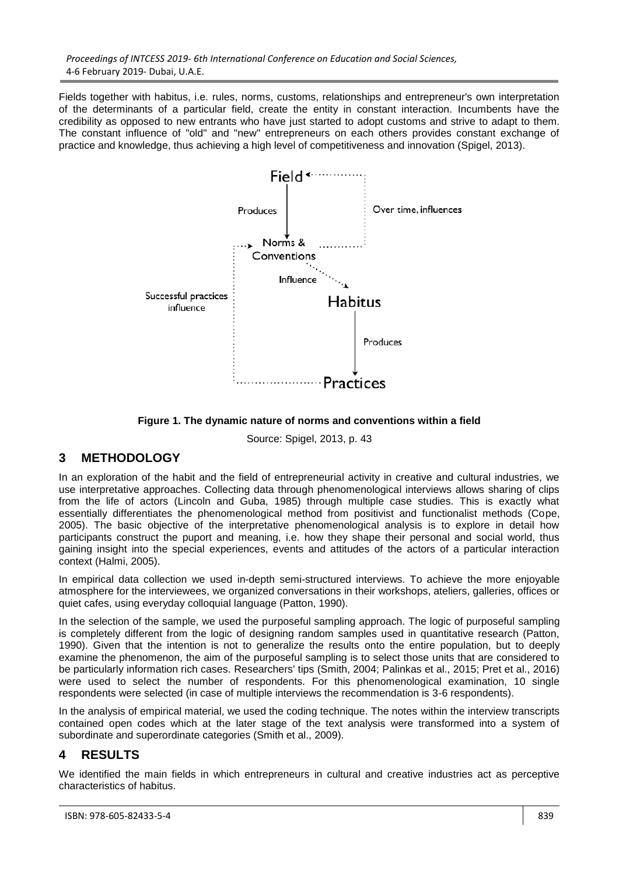Fields together with habitus, i.e. rules, norms, customs, relationships and entrepreneur's own interpretation of the determinants of a particular field, create the entity in constant interaction. Incumbents have the credibility as opposed to new entrants who have just started to adopt customs and strive to adapt to them. The constant influence of "old" and "new" entrepreneurs on each others provides constant exchange of practice and knowledge, thus achieving a high level of competitiveness and innovation (Spigel, 2013).



**Figure 1. The dynamic nature of norms and conventions within a field**

Source: Spigel, 2013, p. 43

### **3 METHODOLOGY**

In an exploration of the habit and the field of entrepreneurial activity in creative and cultural industries, we use interpretative approaches. Collecting data through phenomenological interviews allows sharing of clips from the life of actors (Lincoln and Guba, 1985) through multiple case studies. This is exactly what essentially differentiates the phenomenological method from positivist and functionalist methods (Cope, 2005). The basic objective of the interpretative phenomenological analysis is to explore in detail how participants construct the puport and meaning, i.e. how they shape their personal and social world, thus gaining insight into the special experiences, events and attitudes of the actors of a particular interaction context (Halmi, 2005).

In empirical data collection we used in-depth semi-structured interviews. To achieve the more enjoyable atmosphere for the interviewees, we organized conversations in their workshops, ateliers, galleries, offices or quiet cafes, using everyday colloquial language (Patton, 1990).

In the selection of the sample, we used the purposeful sampling approach. The logic of purposeful sampling is completely different from the logic of designing random samples used in quantitative research (Patton, 1990). Given that the intention is not to generalize the results onto the entire population, but to deeply examine the phenomenon, the aim of the purposeful sampling is to select those units that are considered to be particularly information rich cases. Researchers' tips (Smith, 2004; Palinkas et al., 2015; Pret et al., 2016) were used to select the number of respondents. For this phenomenological examination, 10 single respondents were selected (in case of multiple interviews the recommendation is 3-6 respondents).

In the analysis of empirical material, we used the coding technique. The notes within the interview transcripts contained open codes which at the later stage of the text analysis were transformed into a system of subordinate and superordinate categories (Smith et al., 2009).

## **4 RESULTS**

We identified the main fields in which entrepreneurs in cultural and creative industries act as perceptive characteristics of habitus.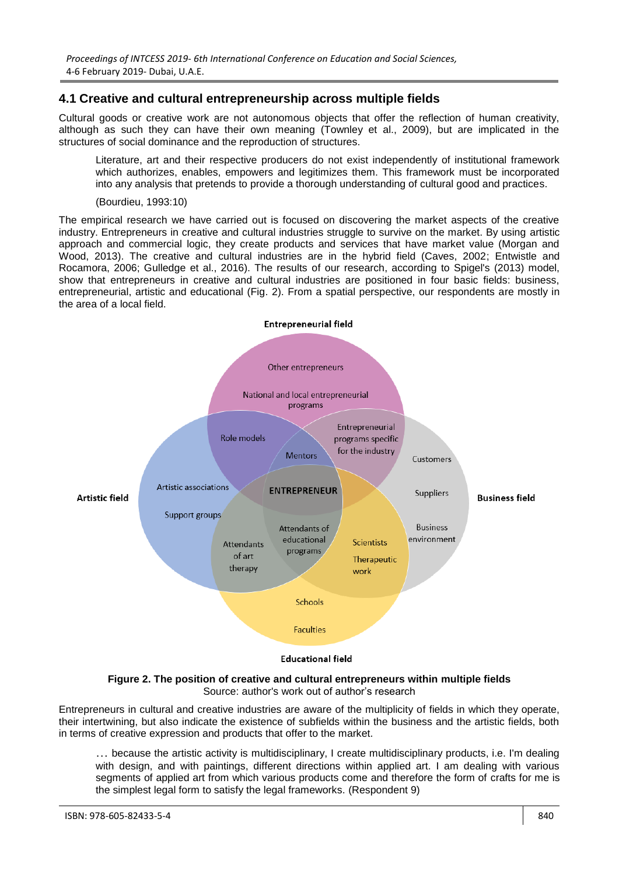### **4.1 Creative and cultural entrepreneurship across multiple fields**

Cultural goods or creative work are not autonomous objects that offer the reflection of human creativity, although as such they can have their own meaning (Townley et al., 2009), but are implicated in the structures of social dominance and the reproduction of structures.

Literature, art and their respective producers do not exist independently of institutional framework which authorizes, enables, empowers and legitimizes them. This framework must be incorporated into any analysis that pretends to provide a thorough understanding of cultural good and practices.

(Bourdieu, 1993:10)

The empirical research we have carried out is focused on discovering the market aspects of the creative industry. Entrepreneurs in creative and cultural industries struggle to survive on the market. By using artistic approach and commercial logic, they create products and services that have market value (Morgan and Wood, 2013). The creative and cultural industries are in the hybrid field (Caves, 2002; Entwistle and Rocamora, 2006; Gulledge et al., 2016). The results of our research, according to Spigel's (2013) model, show that entrepreneurs in creative and cultural industries are positioned in four basic fields: business, entrepreneurial, artistic and educational (Fig. 2). From a spatial perspective, our respondents are mostly in the area of a local field.



**Figure 2. The position of creative and cultural entrepreneurs within multiple fields** Source: author's work out of author's research

Entrepreneurs in cultural and creative industries are aware of the multiplicity of fields in which they operate, their intertwining, but also indicate the existence of subfields within the business and the artistic fields, both in terms of creative expression and products that offer to the market.

… because the artistic activity is multidisciplinary, I create multidisciplinary products, i.e. I'm dealing with design, and with paintings, different directions within applied art. I am dealing with various segments of applied art from which various products come and therefore the form of crafts for me is the simplest legal form to satisfy the legal frameworks. (Respondent 9)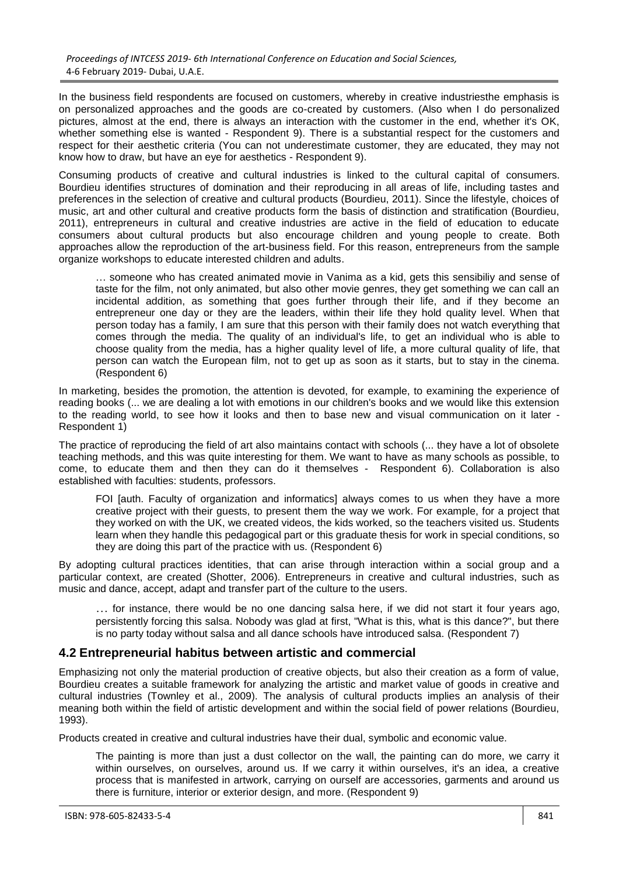In the business field respondents are focused on customers, whereby in creative industriesthe emphasis is on personalized approaches and the goods are co-created by customers. (Also when I do personalized pictures, almost at the end, there is always an interaction with the customer in the end, whether it's OK, whether something else is wanted - Respondent 9). There is a substantial respect for the customers and respect for their aesthetic criteria (You can not underestimate customer, they are educated, they may not know how to draw, but have an eye for aesthetics - Respondent 9).

Consuming products of creative and cultural industries is linked to the cultural capital of consumers. Bourdieu identifies structures of domination and their reproducing in all areas of life, including tastes and preferences in the selection of creative and cultural products (Bourdieu, 2011). Since the lifestyle, choices of music, art and other cultural and creative products form the basis of distinction and stratification (Bourdieu, 2011), entrepreneurs in cultural and creative industries are active in the field of education to educate consumers about cultural products but also encourage children and young people to create. Both approaches allow the reproduction of the art-business field. For this reason, entrepreneurs from the sample organize workshops to educate interested children and adults.

… someone who has created animated movie in Vanima as a kid, gets this sensibiliy and sense of taste for the film, not only animated, but also other movie genres, they get something we can call an incidental addition, as something that goes further through their life, and if they become an entrepreneur one day or they are the leaders, within their life they hold quality level. When that person today has a family, I am sure that this person with their family does not watch everything that comes through the media. The quality of an individual's life, to get an individual who is able to choose quality from the media, has a higher quality level of life, a more cultural quality of life, that person can watch the European film, not to get up as soon as it starts, but to stay in the cinema. (Respondent 6)

In marketing, besides the promotion, the attention is devoted, for example, to examining the experience of reading books (... we are dealing a lot with emotions in our children's books and we would like this extension to the reading world, to see how it looks and then to base new and visual communication on it later - Respondent 1)

The practice of reproducing the field of art also maintains contact with schools (... they have a lot of obsolete teaching methods, and this was quite interesting for them. We want to have as many schools as possible, to come, to educate them and then they can do it themselves - Respondent 6). Collaboration is also established with faculties: students, professors.

FOI [auth. Faculty of organization and informatics] always comes to us when they have a more creative project with their guests, to present them the way we work. For example, for a project that they worked on with the UK, we created videos, the kids worked, so the teachers visited us. Students learn when they handle this pedagogical part or this graduate thesis for work in special conditions, so they are doing this part of the practice with us. (Respondent 6)

By adopting cultural practices identities, that can arise through interaction within a social group and a particular context, are created (Shotter, 2006). Entrepreneurs in creative and cultural industries, such as music and dance, accept, adapt and transfer part of the culture to the users.

… for instance, there would be no one dancing salsa here, if we did not start it four years ago, persistently forcing this salsa. Nobody was glad at first, "What is this, what is this dance?", but there is no party today without salsa and all dance schools have introduced salsa. (Respondent 7)

#### **4.2 Entrepreneurial habitus between artistic and commercial**

Emphasizing not only the material production of creative objects, but also their creation as a form of value, Bourdieu creates a suitable framework for analyzing the artistic and market value of goods in creative and cultural industries (Townley et al., 2009). The analysis of cultural products implies an analysis of their meaning both within the field of artistic development and within the social field of power relations (Bourdieu, 1993).

Products created in creative and cultural industries have their dual, symbolic and economic value.

The painting is more than just a dust collector on the wall, the painting can do more, we carry it within ourselves, on ourselves, around us. If we carry it within ourselves, it's an idea, a creative process that is manifested in artwork, carrying on ourself are accessories, garments and around us there is furniture, interior or exterior design, and more. (Respondent 9)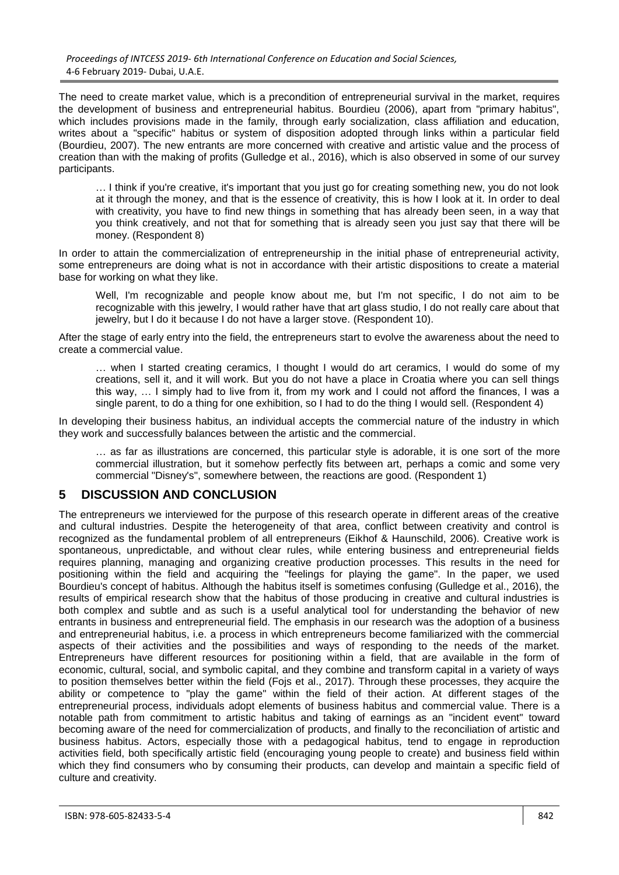The need to create market value, which is a precondition of entrepreneurial survival in the market, requires the development of business and entrepreneurial habitus. Bourdieu (2006), apart from "primary habitus", which includes provisions made in the family, through early socialization, class affiliation and education, writes about a "specific" habitus or system of disposition adopted through links within a particular field (Bourdieu, 2007). The new entrants are more concerned with creative and artistic value and the process of creation than with the making of profits (Gulledge et al., 2016), which is also observed in some of our survey participants.

… I think if you're creative, it's important that you just go for creating something new, you do not look at it through the money, and that is the essence of creativity, this is how I look at it. In order to deal with creativity, you have to find new things in something that has already been seen, in a way that you think creatively, and not that for something that is already seen you just say that there will be money. (Respondent 8)

In order to attain the commercialization of entrepreneurship in the initial phase of entrepreneurial activity, some entrepreneurs are doing what is not in accordance with their artistic dispositions to create a material base for working on what they like.

Well, I'm recognizable and people know about me, but I'm not specific, I do not aim to be recognizable with this jewelry, I would rather have that art glass studio, I do not really care about that jewelry, but I do it because I do not have a larger stove. (Respondent 10).

After the stage of early entry into the field, the entrepreneurs start to evolve the awareness about the need to create a commercial value.

… when I started creating ceramics, I thought I would do art ceramics, I would do some of my creations, sell it, and it will work. But you do not have a place in Croatia where you can sell things this way, … I simply had to live from it, from my work and I could not afford the finances, I was a single parent, to do a thing for one exhibition, so I had to do the thing I would sell. (Respondent 4)

In developing their business habitus, an individual accepts the commercial nature of the industry in which they work and successfully balances between the artistic and the commercial.

… as far as illustrations are concerned, this particular style is adorable, it is one sort of the more commercial illustration, but it somehow perfectly fits between art, perhaps a comic and some very commercial "Disney's", somewhere between, the reactions are good. (Respondent 1)

### **5 DISCUSSION AND CONCLUSION**

The entrepreneurs we interviewed for the purpose of this research operate in different areas of the creative and cultural industries. Despite the heterogeneity of that area, conflict between creativity and control is recognized as the fundamental problem of all entrepreneurs (Eikhof & Haunschild, 2006). Creative work is spontaneous, unpredictable, and without clear rules, while entering business and entrepreneurial fields requires planning, managing and organizing creative production processes. This results in the need for positioning within the field and acquiring the "feelings for playing the game". In the paper, we used Bourdieu's concept of habitus. Although the habitus itself is sometimes confusing (Gulledge et al., 2016), the results of empirical research show that the habitus of those producing in creative and cultural industries is both complex and subtle and as such is a useful analytical tool for understanding the behavior of new entrants in business and entrepreneurial field. The emphasis in our research was the adoption of a business and entrepreneurial habitus, i.e. a process in which entrepreneurs become familiarized with the commercial aspects of their activities and the possibilities and ways of responding to the needs of the market. Entrepreneurs have different resources for positioning within a field, that are available in the form of economic, cultural, social, and symbolic capital, and they combine and transform capital in a variety of ways to position themselves better within the field (Fojs et al., 2017). Through these processes, they acquire the ability or competence to "play the game" within the field of their action. At different stages of the entrepreneurial process, individuals adopt elements of business habitus and commercial value. There is a notable path from commitment to artistic habitus and taking of earnings as an "incident event" toward becoming aware of the need for commercialization of products, and finally to the reconciliation of artistic and business habitus. Actors, especially those with a pedagogical habitus, tend to engage in reproduction activities field, both specifically artistic field (encouraging young people to create) and business field within which they find consumers who by consuming their products, can develop and maintain a specific field of culture and creativity.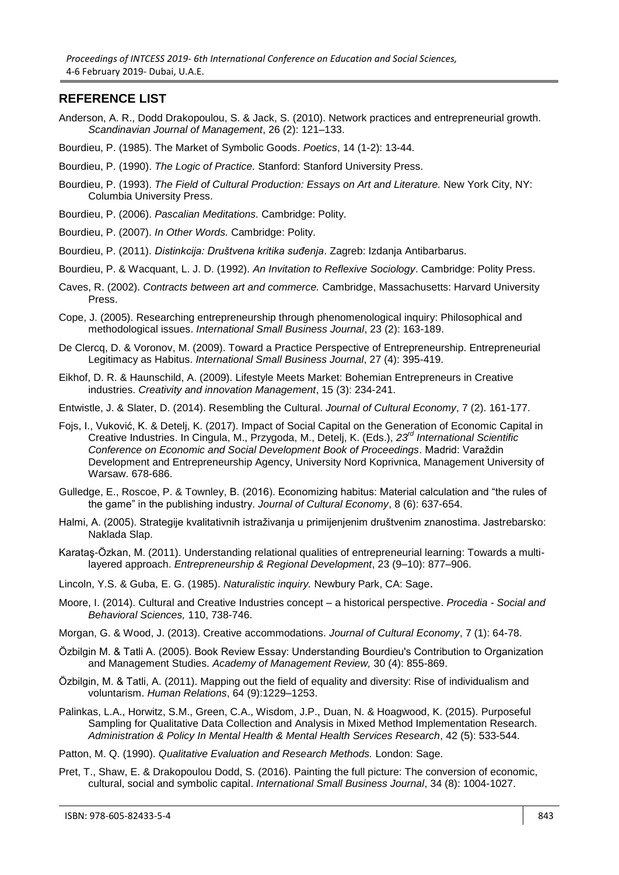#### **REFERENCE LIST**

- Anderson, A. R., Dodd Drakopoulou, S. & Jack, S. (2010). Network practices and entrepreneurial growth. *Scandinavian Journal of Management*, 26 (2): 121–133.
- Bourdieu, P. (1985). The Market of Symbolic Goods. *Poetics*, 14 (1-2): 13-44.
- Bourdieu, P. (1990). *The Logic of Practice.* Stanford: Stanford University Press.
- Bourdieu, P. (1993). *The Field of Cultural Production: Essays on Art and Literature.* New York City, NY: Columbia University Press.
- Bourdieu, P. (2006). *Pascalian Meditations.* Cambridge: Polity.
- Bourdieu, P. (2007). *In Other Words.* Cambridge: Polity.
- Bourdieu, P. (2011). *Distinkcija: Društvena kritika suđenja*. Zagreb: Izdanja Antibarbarus.
- Bourdieu, P. & Wacquant, L. J. D. (1992). *An Invitation to Reflexive Sociology*. Cambridge: Polity Press.
- Caves, R. (2002). *Contracts between art and commerce.* Cambridge, Massachusetts: Harvard University Press.
- Cope, J. (2005). Researching entrepreneurship through phenomenological inquiry: Philosophical and methodological issues. *International Small Business Journal*, 23 (2): 163-189.
- De Clercq, D. & Voronov, M. (2009). Toward a Practice Perspective of Entrepreneurship. Entrepreneurial Legitimacy as Habitus. *International Small Business Journal*, 27 (4): 395-419.
- Eikhof, D. R. & Haunschild, A. (2009). Lifestyle Meets Market: Bohemian Entrepreneurs in Creative industries. *Creativity and innovation Management*, 15 (3): 234-241.
- Entwistle, J. & Slater, D. (2014). Resembling the Cultural. *Journal of Cultural Economy*, 7 (2). 161-177.
- Fojs, I., Vuković, K. & Detelj, K. (2017). Impact of Social Capital on the Generation of Economic Capital in Creative Industries. In Cingula, M., Przygoda, M., Detelj, K. (Eds.), *23rd International Scientific Conference on Economic and Social Development Book of Proceedings*. Madrid: Varaždin Development and Entrepreneurship Agency, University Nord Koprivnica, Management University of Warsaw. 678-686.
- Gulledge, E., Roscoe, P. & Townley, B. (2016). Economizing habitus: Material calculation and "the rules of the game" in the publishing industry. *Journal of Cultural Economy*, 8 (6): 637-654.
- Halmi, A. (2005). Strategije kvalitativnih istraživanja u primijenjenim društvenim znanostima. Jastrebarsko: Naklada Slap.

Karataş-Özkan, M. (2011). Understanding relational qualities of entrepreneurial learning: Towards a multilayered approach. *Entrepreneurship & Regional Development*, 23 (9–10): 877–906.

- Lincoln, Y.S. & Guba, E. G. (1985). *Naturalistic inquiry.* Newbury Park, CA: Sage.
- Moore, I. (2014). Cultural and Creative Industries concept a historical perspective. *Procedia - Social and Behavioral Sciences,* 110, 738-746.
- Morgan, G. & Wood, J. (2013). Creative accommodations. *Journal of Cultural Economy*, 7 (1): 64-78.
- Özbilgin M. & Tatli A. (2005). Book Review Essay: Understanding Bourdieu's Contribution to Organization and Management Studies. *Academy of Management Review,* 30 (4): 855-869.
- Özbilgin, M. & Tatli, A. (2011). Mapping out the field of equality and diversity: Rise of individualism and voluntarism. *Human Relations*, 64 (9):1229–1253.
- Palinkas, L.A., Horwitz, S.M., Green, C.A., Wisdom, J.P., Duan, N. & Hoagwood, K. (2015). Purposeful Sampling for Qualitative Data Collection and Analysis in Mixed Method Implementation Research. *Administration & Policy In Mental Health & Mental Health Services Research*, 42 (5): 533-544.
- Patton, M. Q. (1990). *Qualitative Evaluation and Research Methods.* London: Sage.
- Pret, T., Shaw, E. & Drakopoulou Dodd, S. (2016). Painting the full picture: The conversion of economic, cultural, social and symbolic capital. *International Small Business Journal*, 34 (8): 1004-1027.